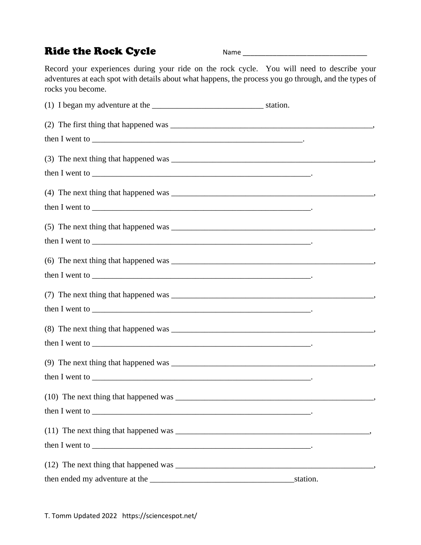## Ride the Rock Cycle Name Name and Manuscript Ride the Rock Cycle

Record your experiences during your ride on the rock cycle. You will need to describe your adventures at each spot with details about what happens, the process you go through, and the types of rocks you become.

| then I went to $\frac{1}{2}$ went to $\frac{1}{2}$ . The set of $\frac{1}{2}$ is the set of $\frac{1}{2}$ is the set of $\frac{1}{2}$ is the set of $\frac{1}{2}$ is the set of $\frac{1}{2}$ is the set of $\frac{1}{2}$ is the set of $\frac{1}{2}$ is the set                      |          |  |
|---------------------------------------------------------------------------------------------------------------------------------------------------------------------------------------------------------------------------------------------------------------------------------------|----------|--|
|                                                                                                                                                                                                                                                                                       |          |  |
| then I went to $\frac{1}{2}$ went to $\frac{1}{2}$ . The set of $\frac{1}{2}$ is the set of $\frac{1}{2}$ is the set of $\frac{1}{2}$ is the set of $\frac{1}{2}$ is the set of $\frac{1}{2}$ is the set of $\frac{1}{2}$ is the set of $\frac{1}{2}$ is the set                      |          |  |
|                                                                                                                                                                                                                                                                                       |          |  |
| then I went to $\frac{1}{2}$ went to $\frac{1}{2}$ . The set of $\frac{1}{2}$ is the set of $\frac{1}{2}$ is the set of $\frac{1}{2}$ is the set of $\frac{1}{2}$ is the set of $\frac{1}{2}$ is the set of $\frac{1}{2}$ is the set of $\frac{1}{2}$ is the set                      |          |  |
|                                                                                                                                                                                                                                                                                       |          |  |
| then I went to $\frac{1}{2}$ went to $\frac{1}{2}$ . The set of $\frac{1}{2}$ and $\frac{1}{2}$ and $\frac{1}{2}$ and $\frac{1}{2}$ and $\frac{1}{2}$ and $\frac{1}{2}$ and $\frac{1}{2}$ and $\frac{1}{2}$ and $\frac{1}{2}$ and $\frac{1}{2}$ and $\frac{1}{2}$ and $\frac{1}{2}$ a |          |  |
|                                                                                                                                                                                                                                                                                       |          |  |
| then I went to $\frac{1}{2}$ went to $\frac{1}{2}$ . The substitution of $\frac{1}{2}$ is the substitution of $\frac{1}{2}$ is the substitution of $\frac{1}{2}$ is the substitution of $\frac{1}{2}$ is the substitution of $\frac{1}{2}$ is the substit                             |          |  |
|                                                                                                                                                                                                                                                                                       |          |  |
|                                                                                                                                                                                                                                                                                       |          |  |
|                                                                                                                                                                                                                                                                                       |          |  |
|                                                                                                                                                                                                                                                                                       |          |  |
|                                                                                                                                                                                                                                                                                       |          |  |
|                                                                                                                                                                                                                                                                                       | station. |  |